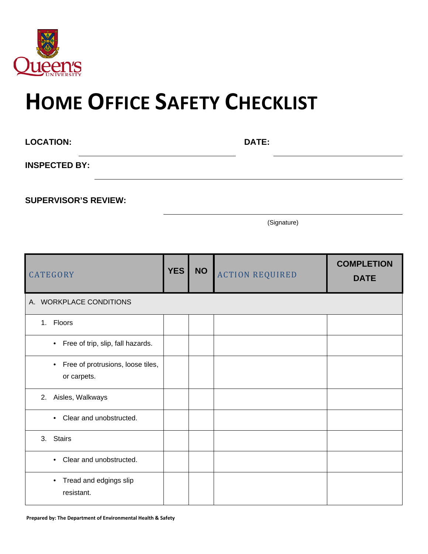

## **HOME OFFICE SAFETY CHECKLIST**

| <b>LOCATION:</b>     | <b>DATE:</b> |  |
|----------------------|--------------|--|
| <b>INSPECTED BY:</b> |              |  |
|                      |              |  |

**SUPERVISOR'S REVIEW:**

(Signature)

| <b>CATEGORY</b>                                               | <b>YES</b> | <b>NO</b> | <b>ACTION REQUIRED</b> | <b>COMPLETION</b><br><b>DATE</b> |
|---------------------------------------------------------------|------------|-----------|------------------------|----------------------------------|
| A. WORKPLACE CONDITIONS                                       |            |           |                        |                                  |
| 1. Floors                                                     |            |           |                        |                                  |
| • Free of trip, slip, fall hazards.                           |            |           |                        |                                  |
| Free of protrusions, loose tiles,<br>$\bullet$<br>or carpets. |            |           |                        |                                  |
| 2. Aisles, Walkways                                           |            |           |                        |                                  |
| Clear and unobstructed.<br>$\bullet$                          |            |           |                        |                                  |
| <b>Stairs</b><br>3.                                           |            |           |                        |                                  |
| Clear and unobstructed.<br>$\bullet$                          |            |           |                        |                                  |
| Tread and edgings slip<br>$\bullet$<br>resistant.             |            |           |                        |                                  |

**Prepared by: The Department of Environmental Health & Safety**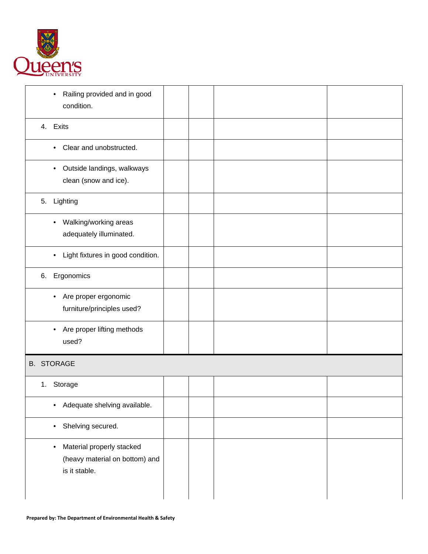

| Railing provided and in good<br>$\bullet$<br>condition.                                   |  |  |
|-------------------------------------------------------------------------------------------|--|--|
| 4. Exits                                                                                  |  |  |
| Clear and unobstructed.<br>$\bullet$                                                      |  |  |
| Outside landings, walkways<br>$\bullet$<br>clean (snow and ice).                          |  |  |
| 5. Lighting                                                                               |  |  |
| Walking/working areas<br>$\bullet$<br>adequately illuminated.                             |  |  |
| Light fixtures in good condition.<br>$\bullet$                                            |  |  |
| Ergonomics<br>6.                                                                          |  |  |
| Are proper ergonomic<br>$\bullet$<br>furniture/principles used?                           |  |  |
| Are proper lifting methods<br>$\bullet$<br>used?                                          |  |  |
| <b>B. STORAGE</b>                                                                         |  |  |
| Storage<br>1.                                                                             |  |  |
| Adequate shelving available.<br>٠                                                         |  |  |
| Shelving secured.<br>$\bullet$                                                            |  |  |
| Material properly stacked<br>$\bullet$<br>(heavy material on bottom) and<br>is it stable. |  |  |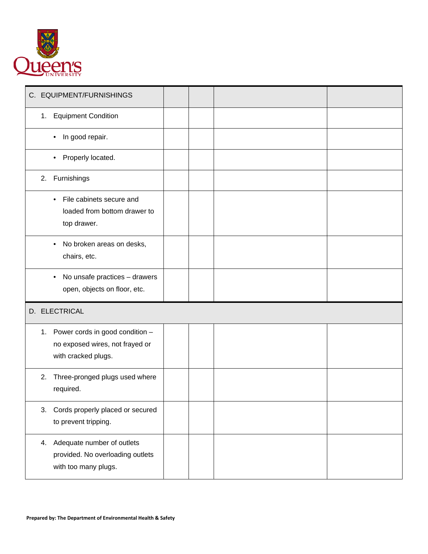

| C. EQUIPMENT/FURNISHINGS                                                                     |  |  |
|----------------------------------------------------------------------------------------------|--|--|
| 1. Equipment Condition                                                                       |  |  |
| In good repair.<br>٠                                                                         |  |  |
| Properly located.                                                                            |  |  |
| Furnishings<br>2.                                                                            |  |  |
| File cabinets secure and<br>$\bullet$<br>loaded from bottom drawer to<br>top drawer.         |  |  |
| No broken areas on desks,<br>$\bullet$<br>chairs, etc.                                       |  |  |
| No unsafe practices - drawers<br>$\bullet$<br>open, objects on floor, etc.                   |  |  |
| D. ELECTRICAL                                                                                |  |  |
| 1. Power cords in good condition -<br>no exposed wires, not frayed or<br>with cracked plugs. |  |  |
| Three-pronged plugs used where<br>2.<br>required.                                            |  |  |
| 3. Cords properly placed or secured<br>to prevent tripping.                                  |  |  |
| 4. Adequate number of outlets<br>provided. No overloading outlets<br>with too many plugs.    |  |  |